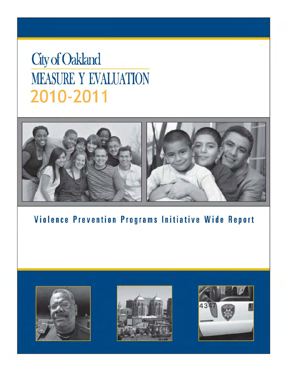# **City of Oakland MEASURE Y EVALUATION** 2010-2011



Violence Prevention Programs Initiative Wide Report





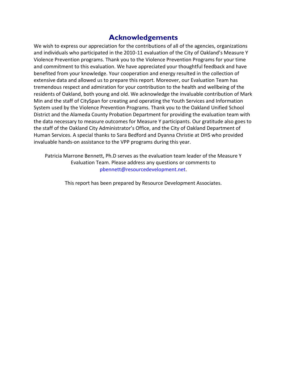### **Acknowledgements**

We wish to express our appreciation for the contributions of all of the agencies, organizations and individuals who participated in the 2010-11 evaluation of the City of Oakland's Measure Y Violence Prevention programs. Thank you to the Violence Prevention Programs for your time and commitment to this evaluation. We have appreciated your thoughtful feedback and have benefited from your knowledge. Your cooperation and energy resulted in the collection of extensive data and allowed us to prepare this report. Moreover, our Evaluation Team has tremendous respect and admiration for your contribution to the health and wellbeing of the residents of Oakland, both young and old. We acknowledge the invaluable contribution of Mark Min and the staff of CitySpan for creating and operating the Youth Services and Information System used by the Violence Prevention Programs. Thank you to the Oakland Unified School District and the Alameda County Probation Department for providing the evaluation team with the data necessary to measure outcomes for Measure Y participants. Our gratitude also goes to the staff of the Oakland City Administrator's Office, and the City of Oakland Department of Human Services. A special thanks to Sara Bedford and Dyanna Christie at DHS who provided invaluable hands‐on assistance to the VPP programs during this year.

Patricia Marrone Bennett, Ph.D serves as the evaluation team leader of the Measure Y Evaluation Team. Please address any questions or comments to pbennett@resourcedevelopment.net.

This report has been prepared by Resource Development Associates.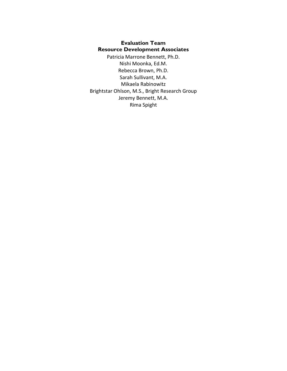#### **Evaluation Team Resource Development Associates**

Patricia Marrone Bennett, Ph.D. Nishi Moonka, Ed.M. Rebecca Brown, Ph.D. Sarah Sullivant, M.A. Mikaela Rabinowitz Brightstar Ohlson, M.S., Bright Research Group Jeremy Bennett, M.A. Rima Spight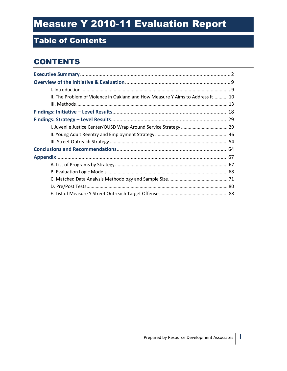## Table of Contents

## **CONTENTS**

| II. The Problem of Violence in Oakland and How Measure Y Aims to Address It 10 |  |
|--------------------------------------------------------------------------------|--|
|                                                                                |  |
|                                                                                |  |
|                                                                                |  |
|                                                                                |  |
|                                                                                |  |
|                                                                                |  |
|                                                                                |  |
|                                                                                |  |
|                                                                                |  |
|                                                                                |  |
|                                                                                |  |
|                                                                                |  |
|                                                                                |  |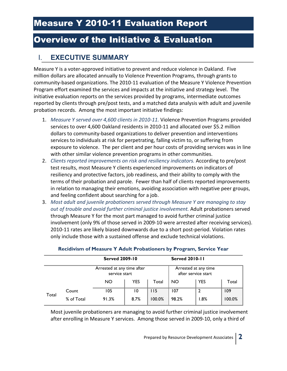### I. **EXECUTIVE SUMMARY**

Measure Y is a voter-approved initiative to prevent and reduce violence in Oakland. Five million dollars are allocated annually to Violence Prevention Programs, through grants to community-based organizations. The 2010-11 evaluation of the Measure Y Violence Prevention Program effort examined the services and impacts at the initiative and strategy level. The initiative evaluation reports on the services provided by programs, intermediate outcomes reported by clients through pre/post tests, and a matched data analysis with adult and juvenile probation records. Among the most important initiative findings:

- 1. *Measure Y served over 4,600 clients in 2010-11.* Violence Prevention Programs provided services to over 4,600 Oakland residents in 2010-11 and allocated over \$5.2 million dollars to community-based organizations to deliver prevention and interventions services to individuals at risk for perpetrating, falling victim to, or suffering from exposure to violence. The per client and per hour costs of providing services was in line with other similar violence prevention programs in other communities.
- 2. *Clients reported improvements on risk and resiliency indicators.* According to pre/post test results, most Measure Y clients experienced improvements on indicators of resiliency and protective factors, job readiness, and their ability to comply with the terms of their probation and parole. Fewer than half of clients reported improvements in relation to managing their emotions, avoiding association with negative peer groups, and feeling confident about searching for a job.
- 3. *Most adult and juvenile probationers served through Measure Y are managing to stay out of trouble and avoid further criminal justice involvement.* Adult probationers served through Measure Y for the most part managed to avoid further criminal justice involvement (only 9% of those served in 2009-10 were arrested after receiving services). 2010-11 rates are likely biased downwards due to a short post-period. Violation rates only include those with a sustained offense and exclude technical violations.

|       |            | <b>Served 2009-10</b>                       |            |        | <b>Served 2010-11</b>                       |            |        |
|-------|------------|---------------------------------------------|------------|--------|---------------------------------------------|------------|--------|
|       |            | Arrested at any time after<br>service start |            |        | Arrested at any time<br>after service start |            |        |
|       |            | <b>NO</b>                                   | <b>YES</b> | Total  | <b>NO</b>                                   | <b>YES</b> | Total  |
|       | Count      | 105                                         | 10         | 115    | 107                                         | 2          | 109    |
| Total | % of Total | 91.3%                                       | 8.7%       | 100.0% | 98.2%                                       | $.8\%$     | 100.0% |

#### **Recidivism of Measure Y Adult Probationers by Program, Service Year**

Most juvenile probationers are managing to avoid further criminal justice involvement after enrolling in Measure Y services. Among those served in 2009-10, only a third of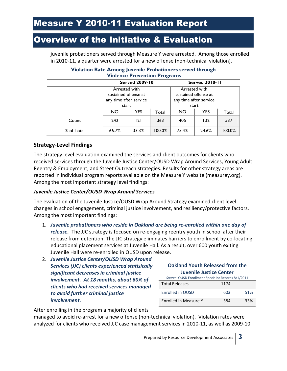juvenile probationers served through Measure Y were arrested. Among those enrolled in 2010-11, a quarter were arrested for a new offense (non-technical violation).

| <b>Violence Prevention Programs</b> |                                                                          |   |       |                                                                          |                       |     |
|-------------------------------------|--------------------------------------------------------------------------|---|-------|--------------------------------------------------------------------------|-----------------------|-----|
|                                     | <b>Served 2009-10</b>                                                    |   |       |                                                                          | <b>Served 2010-11</b> |     |
|                                     | Arrested with<br>sustained offense at<br>any time after service<br>start |   |       | Arrested with<br>sustained offense at<br>any time after service<br>start |                       |     |
|                                     | <b>YES</b><br><b>NO</b><br>Total                                         |   | NO.   | <b>YES</b>                                                               | Total                 |     |
| Count                               | 242                                                                      | 2 | 363   | 405                                                                      | 132                   | 537 |
| % of Total                          | 33.3%<br>100.0%<br>66.7%                                                 |   | 75.4% | 24.6%                                                                    | 100.0%                |     |

#### **Violation Rate Among Juvenile Probationers served through Violence Prevention Programs**

#### **Strategy-Level Findings**

The strategy level evaluation examined the services and client outcomes for clients who received services through the Juvenile Justice Center/OUSD Wrap Around Services, Young Adult Reentry & Employment, and Street Outreach strategies. Results for other strategy areas are reported in individual program reports available on the Measure Y website (measurey.org). Among the most important strategy level findings:

#### *Juvenile Justice Center/OUSD Wrap Around Services*

The evaluation of the Juvenile Justice/OUSD Wrap Around Strategy examined client level changes in school engagement, criminal justice involvement, and resiliency/protective factors. Among the most important findings:

- 1. *Juvenile probationers who reside in Oakland are being re-enrolled within one day of release.* The JJC strategy is focused on re-engaging reentry youth in school after their release from detention. The JJC strategy eliminates barriers to enrollment by co-locating educational placement services at Juvenile Hall. As a result, over 600 youth exiting Juvenile Hall were re-enrolled in OUSD upon release.
- 2. *Juvenile Justice Center/OUSD Wrap Around Services (JJC) clients experienced statisically significant decreases in criminal justice involvement. At 18 months, about 60% of clients who had received services managed to avoid further criminal justice involvement.*

#### **Oakland Youth Released from the Juvenile Justice Center**

| Source: OUSD Enrollment Specialist Records 8/1/2011 |      |     |  |
|-----------------------------------------------------|------|-----|--|
| <b>Total Releases</b>                               | 1174 |     |  |
| Enrolled in OUSD                                    | 603  | 51% |  |
| Enrolled in Measure Y                               | 384  | 33% |  |

After enrolling in the program a majority of clients

managed to avoid re-arrest for a new offense (non-technical violation). Violation rates were analyzed for clients who received JJC case management services in 2010-11, as well as 2009-10.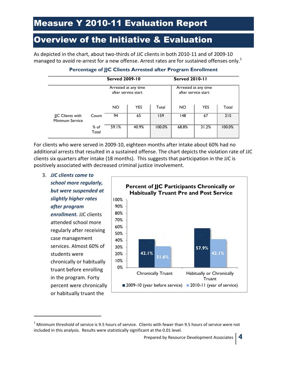As depicted in the chart, about two-thirds of JJC clients in both 2010-11 and of 2009-10 managed to avoid re-arrest for a new offense. Arrest rates are for sustained offenses only.<sup>1</sup>

|                                    |                 | <b>Served 2009-10</b>                       |            | <b>Served 2010-11</b>                       |           |            |        |
|------------------------------------|-----------------|---------------------------------------------|------------|---------------------------------------------|-----------|------------|--------|
|                                    |                 | Arrested at any time<br>after service start |            | Arrested at any time<br>after service start |           |            |        |
|                                    |                 | <b>NO</b>                                   | <b>YES</b> | Total                                       | <b>NO</b> | <b>YES</b> | Total  |
| JC Clients with<br>Minimum Service | Count           | 94                                          | 65         | 159                                         | 148       | 67         | 215    |
|                                    | $%$ of<br>Total | 59.1%                                       | 40.9%      | 100.0%                                      | 68.8%     | 31.2%      | 100.0% |

#### **Percentage of JJC Clients Arrested after Program Enrollment**

For clients who were served in 2009-10, eighteen months after intake about 60% had no additional arrests that resulted in a sustained offense. The chart depicts the violation rate of JJC clients six quarters after intake (18 months). This suggests that participation in the JJC is positively associated with decreased criminal justice involvement.

3. *JJC clients came to school more regularly, but were suspended at slightly higher rates after program enrollment.* JJC clients attended school more regularly after receiving case management services. Almost 60% of students were chronically or habitually truant before enrolling in the program. Forty percent were chronically or habitually truant the

j



 $^1$  Minimum threshold of service is 9.5 hours of service. Clients with fewer than 9.5 hours of service were not included in this analysis. Results were statistically significant at the 0.01 level.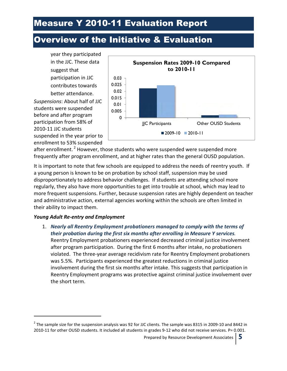## Overview of the Initiative & Evaluation





after enrollment.<sup>2</sup> However, those students who were suspended were suspended more frequently after program enrollment, and at higher rates than the general OUSD population.

It is important to note that few schools are equipped to address the needs of reentry youth. If a young person is known to be on probation by school staff, suspension may be used disproportionately to address behavior challenges. If students are attending school more regularly, they also have more opportunities to get into trouble at school, which may lead to more frequent suspensions. Further, because suspension rates are highly dependent on teacher and administrative action, external agencies working within the schools are often limited in their ability to impact them.

#### *Young Adult Re-entry and Employment*

j

1. *Nearly all Reentry Employment probationers managed to comply with the terms of their probation during the first six months after enrolling in Measure Y services.*  Reentry Employment probationers experienced decreased criminal justice involvement after program participation. During the first 6 months after intake, no probationers violated. The three-year average recidivism rate for Reentry Employment probationers was 5.5%. Participants experienced the greatest reductions in criminal justice involvement during the first six months after intake. This suggests that participation in Reentry Employment programs was protective against criminal justice involvement over the short term.

<sup>&</sup>lt;sup>2</sup> The sample size for the suspension analysis was 92 for JJC clients. The sample was 8315 in 2009-10 and 8442 in 2010-11 for other OUSD students. It included all students in grades 9-12 who did not receive services. P= 0.001.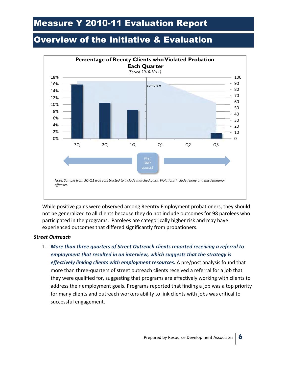## Overview of the Initiative & Evaluation



While positive gains were observed among Reentry Employment probationers, they should not be generalized to all clients because they do not include outcomes for 98 parolees who participated in the programs. Parolees are categorically higher risk and may have experienced outcomes that differed significantly from probationers.

#### *Street Outreach*

1. *More than three quarters of Street Outreach clients reported receiving a referral to employment that resulted in an interview, which suggests that the strategy is effectively linking clients with employment resources.* A pre/post analysis found that more than three-quarters of street outreach clients received a referral for a job that they were qualified for, suggesting that programs are effectively working with clients to address their employment goals. Programs reported that finding a job was a top priority for many clients and outreach workers ability to link clients with jobs was critical to successful engagement.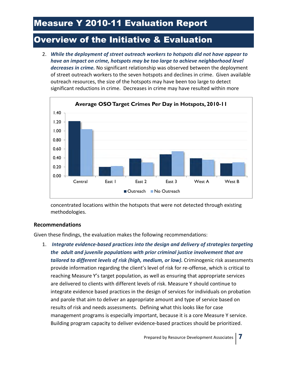2. *While the deployment of street outreach workers to hotspots did not have appear to have an impact on crime, hotspots may be too large to achieve neighborhood level decreases in crime.* No significant relationship was observed between the deployment of street outreach workers to the seven hotspots and declines in crime. Given available outreach resources, the size of the hotspots may have been too large to detect significant reductions in crime. Decreases in crime may have resulted within more



concentrated locations within the hotspots that were not detected through existing methodologies.

#### **Recommendations**

Given these findings, the evaluation makes the following recommendations:

1. *Integrate evidence-based practices into the design and delivery of strategies targeting the adult and juvenile populations with prior criminal justice involvement that are*  tailored to different levels of risk (high, medium, or low). Criminogenic risk assessments provide information regarding the client's level of risk for re-offense, which is critical to reaching Measure Y's target population, as well as ensuring that appropriate services are delivered to clients with different levels of risk. Measure Y should continue to integrate evidence based practices in the design of services for individuals on probation and parole that aim to deliver an appropriate amount and type of service based on results of risk and needs assessments. Defining what this looks like for case management programs is especially important, because it is a core Measure Y service. Building program capacity to deliver evidence-based practices should be prioritized.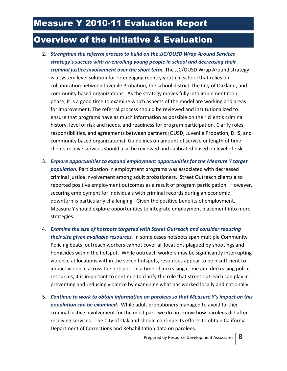- 2. *Strengthen the referral process to build on the JJC/OUSD Wrap Around Services strategy's success with re-enrolling young people in school and decreasing their criminal justice involvement over the short term.* The JJC/OUSD Wrap Around strategy is a system level solution for re-engaging reentry youth in school that relies on collaboration between Juvenile Probation, the school district, the City of Oakland, and community based organizations. As the strategy moves fully into implementation phase, it is a good time to examine which aspects of the model are working and areas for improvement. The referral process should be reviewed and institutionalized to ensure that programs have as much information as possible on their client's criminal history, level of risk and needs, and readiness for program participation. Clarify roles, responsibilities, and agreements between partners (OUSD, Juvenile Probation, DHS, and community based organizations). Guidelines on amount of service or length of time clients receive services should also be reviewed and calibrated based on level of risk.
- 3. *Explore opportunities to expand employment opportunities for the Measure Y target population.* Participation in employment programs was associated with decreased criminal justice involvement among adult probationers. Street Outreach clients also reported positive employment outcomes as a result of program participation. However, securing employment for individuals with criminal records during an economic downturn is particularly challenging. Given the positive benefits of employment, Measure Y should explore opportunities to integrate employment placement into more strategies.
- 4. *Examine the size of hotspots targeted with Street Outreach and consider reducing their size given available resources.* In some cases hotspots span multiple Community Policing beats, outreach workers cannot cover all locations plagued by shootings and homicides within the hotspot. While outreach workers may be significantly interrupting violence at locations within the seven hotspots, resources appear to be insufficient to impact violence across the hotspot. In a time of increasing crime and decreasing police resources, it is important to continue to clarify the role that street outreach can play in preventing and reducing violence by examining what has worked locally and nationally.
- 5. *Continue to work to obtain information on parolees so that Measure Y's impact on this population can be examined.* While adult probationers managed to avoid further criminal justice involvement for the most part, we do not know how parolees did after receiving services. The City of Oakland should continue its efforts to obtain California Department of Corrections and Rehabilitation data on parolees.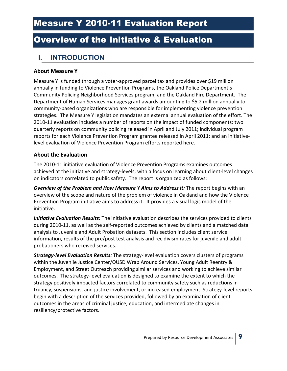### **I. INTRODUCTION**

#### **About Measure Y**

Measure Y is funded through a voter-approved parcel tax and provides over \$19 million annually in funding to Violence Prevention Programs, the Oakland Police Department's Community Policing Neighborhood Services program, and the Oakland Fire Department. The Department of Human Services manages grant awards amounting to \$5.2 million annually to community-based organizations who are responsible for implementing violence prevention strategies. The Measure Y legislation mandates an external annual evaluation of the effort. The 2010-11 evaluation includes a number of reports on the impact of funded components: two quarterly reports on community policing released in April and July 2011; individual program reports for each Violence Prevention Program grantee released in April 2011; and an initiativelevel evaluation of Violence Prevention Program efforts reported here.

#### **About the Evaluation**

The 2010-11 initiative evaluation of Violence Prevention Programs examines outcomes achieved at the initiative and strategy-levels, with a focus on learning about client-level changes on indicators correlated to public safety. The report is organized as follows:

*Overview of the Problem and How Measure Y Aims to Address it:* The report begins with an overview of the scope and nature of the problem of violence in Oakland and how the Violence Prevention Program initiative aims to address it. It provides a visual logic model of the initiative.

*Initiative Evaluation Results:* The initiative evaluation describes the services provided to clients during 2010-11, as well as the self-reported outcomes achieved by clients and a matched data analysis to Juvenile and Adult Probation datasets. This section includes client service information, results of the pre/post test analysis and recidivism rates for juvenile and adult probationers who received services.

*Strategy-level Evaluation Results:* The strategy-level evaluation covers clusters of programs within the Juvenile Justice Center/OUSD Wrap Around Services, Young Adult Reentry & Employment, and Street Outreach providing similar services and working to achieve similar outcomes. The strategy-level evaluation is designed to examine the extent to which the strategy positively impacted factors correlated to community safety such as reductions in truancy, suspensions, and justice involvement, or increased employment. Strategy-level reports begin with a description of the services provided, followed by an examination of client outcomes in the areas of criminal justice, education, and intermediate changes in resiliency/protective factors.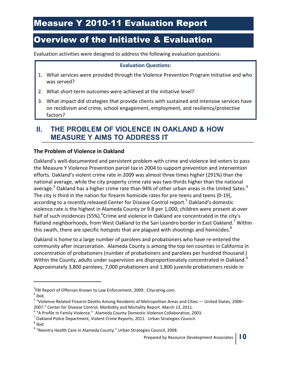Evaluation activities were designed to address the following evaluation questions:

#### **Evaluation Questions:**

- 1. What services were provided through the Violence Prevention Program Initiative and who was served?
- 2. What short-term outcomes were achieved at the initiative level?
- 3. What impact did strategies that provide clients with sustained and intensive services have on recidivism and crime, school engagement, employment, and resiliency/protective factors?

### **II. THE PROBLEM OF VIOLENCE IN OAKLAND & HOW MEASURE Y AIMS TO ADDRESS IT**

#### **The Problem of Violence in Oakland**

Oakland's well-documented and persistent problem with crime and violence led voters to pass the Measure Y Violence Prevention parcel tax in 2004 to support prevention and intervention efforts. Oakland's violent crime rate in 2009 was almost three times higher (291%) than the national average, while the city property crime rate was two-thirds higher than the national average.<sup>3</sup> Oakland has a higher crime rate than 94% of other urban areas in the United Sates.<sup>4</sup> The city is third in the nation for firearm homicide rates for pre-teens and teens (0-19), according to a recently released Center for Disease Control report.<sup>5</sup> Oakland's domestic violence rate is the highest in Alameda County or 9.8 per 1,000; children were present at over half of such incidences (55%). <sup>6</sup>Crime and violence in Oakland are concentrated in the city's flatland neighborhoods, from West Oakland to the San Leandro border in East Oakland.<sup>7</sup> Within this swath, there are specific hotspots that are plagued with shootings and homicides.<sup>8</sup>

Oakland is home to a large number of parolees and probationers who have re-entered the community after incarceration. Alameda County is among the top ten counties in California in concentration of probationers (number of probationers and parolees per hundred thousand.) Within the County, adults under supervision are disproportionately concentrated in Oakland.<sup>9</sup> Approximately 3,800 parolees, 7,000 probationers and 1,800 juvenile probationers reside in

.

<sup>&</sup>lt;sup>3</sup>FBI Report of Offenses Known to Law Enforcement, 2009. Cityrating.com.

 $<sup>4</sup>$  Ibid.</sup>

<sup>&</sup>lt;sup>5</sup> "Violence-Related Firearm Deaths Among Residents of Metropolitan Areas and Cities — United States, 2006– 2007." Center for Disease Control. Morbidity and Mortality Report. March 13, 2011.

<sup>&</sup>lt;sup>6</sup> "A Profile in Family Violence." Alameda County Domestic Violence Collaborative, 2003.

<sup>&</sup>lt;sup>7</sup> Oakland Police Department, Violent Crime Reports, 2011. Urban Strategies Council.

 $^8$  Ibid.

<sup>&</sup>lt;sup>9</sup> "Reentry Health Care in Alameda County." Urban Strategies Council, 2008.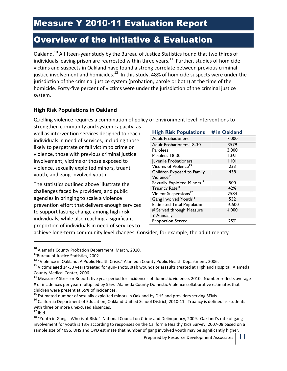Oakland.<sup>10</sup> A fifteen-year study by the Bureau of Justice Statistics found that two thirds of individuals leaving prison are rearrested within three years.<sup>11</sup> Further, studies of homicide victims and suspects in Oakland have found a strong correlate between previous criminal justice involvement and homicides. $12$  In this study, 48% of homicide suspects were under the jurisdiction of the criminal justice system (probation, parole or both) at the time of the homicide. Forty-five percent of victims were under the jurisdiction of the criminal justice system.

#### **High Risk Populations in Oakland**

Quelling violence requires a combination of policy or environment level interventions to

strengthen community and system capacity, as well as intervention services designed to reach individuals in need of services, including those likely to perpetrate or fall victim to crime or violence, those with previous criminal justice involvement, victims or those exposed to violence, sexually exploited minors, truant youth, and gang-involved youth.

The statistics outlined above illustrate the challenges faced by providers, and public agencies in bringing to scale a violence prevention effort that delivers enough services to support lasting change among high-risk individuals, while also reaching a significant proportion of individuals in need of services to

| <b>High Risk Populations # in Oakland</b>            |        |
|------------------------------------------------------|--------|
| <b>Adult Probationers</b>                            | 7,000  |
| <b>Adult Probationers 18-30</b>                      | 3579   |
| Parolees                                             | 3,800  |
| Parolees 18-30                                       | 1361   |
| Juvenile Probationers                                | 1101   |
| Victims of Violence <sup>13</sup>                    | 233    |
| Children Exposed to Family<br>Violence <sup>14</sup> | 438    |
| Sexually Exploited Minors <sup>15</sup>              | 500    |
| Truancy Rate <sup>16</sup>                           | 42%    |
| Violent Suspensions <sup>17</sup>                    | 2584   |
| Gang Involved Youth <sup>18</sup>                    | 532    |
| <b>Estimated Total Population</b>                    | 16,500 |
| # Served through Measure<br>Y Annually               | 4,000  |
| <b>Proportion Served</b>                             | 25%    |

achieve long-term community level changes. Consider, for example, the adult reentry

j

<sup>&</sup>lt;sup>10</sup> Alameda County Probation Department, March, 2010.

<sup>&</sup>lt;sup>11</sup>Bureau of Justice Statistics, 2002.

<sup>12</sup> "Violence in Oakland: A Public Health Crisis." Alameda County Public Health Department, 2006.

<sup>&</sup>lt;sup>13</sup> Victims aged 14-30 years treated for gun- shots, stab wounds or assaults treated at Highland Hospital. Alameda County Medical Center, 2006.

<sup>&</sup>lt;sup>14</sup> Measure Y Stressor Report: five year period for incidences of domestic violence, 2010. Number reflects average # of incidences per year multiplied by 55%. Alameda County Domestic Violence collaborative estimates that children were present at 55% of incidences.

<sup>&</sup>lt;sup>15</sup> Estimated number of sexually exploited minors in Oakland by DHS and providers serving SEMs.

 $16$  California Department of Education, Oakland Unified School District, 2010-11. Truancy is defined as students with three or more unexcused absences.

 $17$  Ibid.

 $18$  "Youth in Gangs: Who is at Risk." National Council on Crime and Delinquency, 2009. Oakland's rate of gang involvement for youth is 13% according to responses on the California Healthy Kids Survey, 2007-08 based on a sample size of 4096. DHS and OPD estimate that number of gang involved youth may be significantly higher.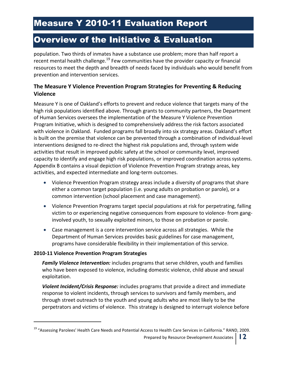population. Two thirds of inmates have a substance use problem; more than half report a recent mental health challenge.<sup>19</sup> Few communities have the provider capacity or financial resources to meet the depth and breadth of needs faced by individuals who would benefit from prevention and intervention services.

#### **The Measure Y Violence Prevention Program Strategies for Preventing & Reducing Violence**

Measure Y is one of Oakland's efforts to prevent and reduce violence that targets many of the high risk populations identified above. Through grants to community partners, the Department of Human Services oversees the implementation of the Measure Y Violence Prevention Program Initiative, which is designed to comprehensively address the risk factors associated with violence in Oakland. Funded programs fall broadly into six strategy areas. Oakland's effort is built on the premise that violence can be prevented through a combination of individual-level interventions designed to re-direct the highest risk populations and, through system wide activities that result in improved public safety at the school or community level, improved capacity to identify and engage high risk populations, or improved coordination across systems. Appendix B contains a visual depiction of Violence Prevention Program strategy areas, key activities, and expected intermediate and long-term outcomes.

- Violence Prevention Program strategy areas include a diversity of programs that share either a common target population (i.e. young adults on probation or parole), or a common intervention (school placement and case management).
- Violence Prevention Programs target special populations at risk for perpetrating, falling victim to or experiencing negative consequences from exposure to violence- from ganginvolved youth, to sexually exploited minors, to those on probation or parole.
- Case management is a core intervention service across all strategies. While the Department of Human Services provides basic guidelines for case management, programs have considerable flexibility in their implementation of this service.

#### **2010-11 Violence Prevention Program Strategies**

.

*Family Violence Intervention:* includes programs that serve children, youth and families who have been exposed to violence, including domestic violence, child abuse and sexual exploitation.

*Violent Incident/Crisis Response:* includes programs that provide a direct and immediate response to violent incidents, through services to survivors and family members, and through street outreach to the youth and young adults who are most likely to be the perpetrators and victims of violence. This strategy is designed to interrupt violence before

Prepared by Resource Development Associates **12**

<sup>&</sup>lt;sup>19</sup> "Assessing Parolees' Health Care Needs and Potential Access to Health Care Services in California." RAND, 2009.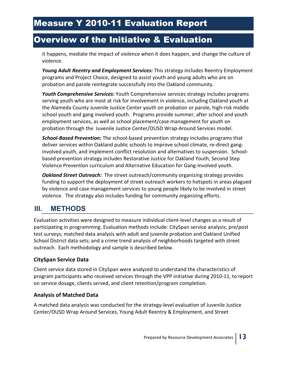it happens, mediate the impact of violence when it does happen, and change the culture of violence.

*Young Adult Reentry and Employment Services:* This strategy includes Reentry Employment programs and Project Choice, designed to assist youth and young adults who are on probation and parole reintegrate successfully into the Oakland community.

*Youth Comprehensive Services:* Youth Comprehensive services strategy includes programs serving youth who are most at risk for involvement in violence, including Oakland youth at the Alameda County Juvenile Justice Center youth on probation or parole, high-risk middle school youth and gang involved youth. Programs provide summer, after school and youth employment services, as well as school placement/case management for youth on probation through the Juvenile Justice Center/OUSD Wrap-Around Services model.

*School-Based Prevention:* The school-based prevention strategy includes programs that deliver services within Oakland public schools to improve school climate, re-direct ganginvolved youth, and implement conflict resolution and alternatives to suspension. Schoolbased prevention strategy includes Restorative Justice for Oakland Youth, Second Step Violence Prevention curriculum and Alternative Education for Gang-Involved youth.

*Oakland Street Outreach:* The street outreach/community organizing strategy provides funding to support the deployment of street outreach workers to hotspots in areas plagued by violence and case management services to young people likely to be involved in street violence. The strategy also includes funding for community organizing efforts.

### **III. METHODS**

Evaluation activities were designed to measure individual client-level changes as a result of participating in programming. Evaluation methods include: CitySpan service analysis; pre/post test surveys; matched data analysis with adult and juvenile probation and Oakland Unified School District data sets; and a crime trend analysis of neighborhoods targeted with street outreach. Each methodology and sample is described below.

#### **CitySpan Service Data**

Client service data stored in CitySpan were analyzed to understand the characteristics of program participants who received services through the VPP initiative during 2010-11, to report on service dosage, clients served, and client retention/program completion.

#### **Analysis of Matched Data**

A matched data analysis was conducted for the strategy-level evaluation of Juvenile Justice Center/OUSD Wrap Around Services, Young Adult Reentry & Employment, and Street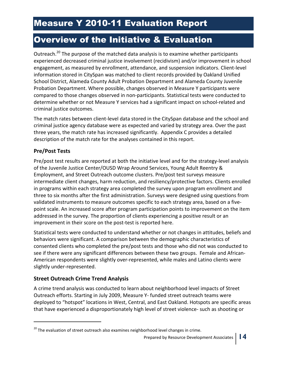Outreach.<sup>20</sup> The purpose of the matched data analysis is to examine whether participants experienced decreased criminal justice involvement (recidivism) and/or improvement in school engagement, as measured by enrollment, attendance, and suspension indicators. Client-level information stored in CitySpan was matched to client records provided by Oakland Unified School District, Alameda County Adult Probation Department and Alameda County Juvenile Probation Department. Where possible, changes observed in Measure Y participants were compared to those changes observed in non-participants. Statistical tests were conducted to determine whether or not Measure Y services had a significant impact on school-related and criminal justice outcomes.

The match rates between client-level data stored in the CitySpan database and the school and criminal justice agency database were as expected and varied by strategy area. Over the past three years, the match rate has increased significantly. Appendix C provides a detailed description of the match rate for the analyses contained in this report.

#### **Pre/Post Tests**

j

Pre/post test results are reported at both the initiative level and for the strategy-level analysis of the Juvenile Justice Center/OUSD Wrap Around Services, Young Adult Reentry & Employment, and Street Outreach outcome clusters. Pre/post test surveys measure intermediate client changes, harm reduction, and resiliency/protective factors. Clients enrolled in programs within each strategy area completed the survey upon program enrollment and three to six months after the first administration. Surveys were designed using questions from validated instruments to measure outcomes specific to each strategy area, based on a fivepoint scale. An increased score after program participation points to improvement on the item addressed in the survey. The proportion of clients experiencing a positive result or an improvement in their score on the post-test is reported here.

Statistical tests were conducted to understand whether or not changes in attitudes, beliefs and behaviors were significant. A comparison between the demographic characteristics of consented clients who completed the pre/post tests and those who did not was conducted to see if there were any significant differences between these two groups. Female and African-American respondents were slightly over-represented, while males and Latino clients were slightly under-represented.

#### **Street Outreach Crime Trend Analysis**

A crime trend analysis was conducted to learn about neighborhood level impacts of Street Outreach efforts. Starting in July 2009, Measure Y- funded street outreach teams were deployed to "hotspot" locations in West, Central, and East Oakland. Hotspots are specific areas that have experienced a disproportionately high level of street violence- such as shooting or

 $^{20}$  The evaluation of street outreach also examines neighborhood level changes in crime.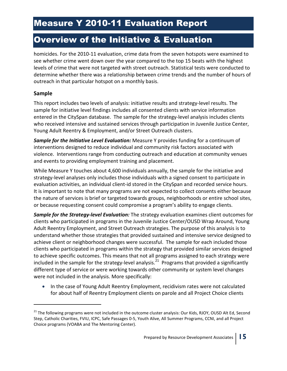homicides. For the 2010-11 evaluation, crime data from the seven hotspots were examined to see whether crime went down over the year compared to the top 15 beats with the highest levels of crime that were not targeted with street outreach. Statistical tests were conducted to determine whether there was a relationship between crime trends and the number of hours of outreach in that particular hotspot on a monthly basis.

#### **Sample**

.

This report includes two levels of analysis: initiative results and strategy-level results. The sample for initiative level findings includes all consented clients with service information entered in the CitySpan database. The sample for the strategy-level analysis includes clients who received intensive and sustained services through participation in Juvenile Justice Center, Young Adult Reentry & Employment, and/or Street Outreach clusters.

*Sample for the Initiative Level Evaluation:* Measure Y provides funding for a continuum of interventions designed to reduce individual and community risk factors associated with violence. Interventions range from conducting outreach and education at community venues and events to providing employment training and placement.

While Measure Y touches about 4,600 individuals annually, the sample for the initiative and strategy-level analyses only includes those individuals with a signed consent to participate in evaluation activities, an individual client-id stored in the CitySpan and recorded service hours. It is important to note that many programs are not expected to collect consents either because the nature of services is brief or targeted towards groups, neighborhoods or entire school sites, or because requesting consent could compromise a program's ability to engage clients.

*Sample for the Strategy-level Evaluation:* The strategy evaluation examines client outcomes for clients who participated in programs in the Juvenile Justice Center/OUSD Wrap Around, Young Adult Reentry Employment, and Street Outreach strategies. The purpose of this analysis is to understand whether those strategies that provided sustained and intensive service designed to achieve client or neighborhood changes were successful. The sample for each included those clients who participated in programs within the strategy that provided similar services designed to achieve specific outcomes. This means that not all programs assigned to each strategy were included in the sample for the strategy-level analysis.<sup>21</sup> Programs that provided a significantly different type of service or were working towards other community or system level changes were not included in the analysis. More specifically:

• In the case of Young Adult Reentry Employment, recidivism rates were not calculated for about half of Reentry Employment clients on parole and all Project Choice clients

<sup>&</sup>lt;sup>21</sup> The following programs were not included in the outcome cluster analysis: Our Kids, RJOY, OUSD Alt Ed, Second Step, Catholic Charities, FVIU, ICPC, Safe Passages 0-5, Youth Alive, All Summer Programs, CCNI, and all Project Choice programs (VOABA and The Mentoring Center).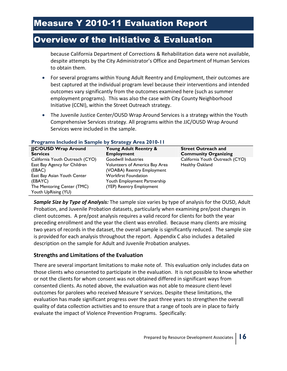because California Department of Corrections & Rehabilitation data were not available, despite attempts by the City Administrator's Office and Department of Human Services to obtain them.

- For several programs within Young Adult Reentry and Employment, their outcomes are best captured at the individual program level because their interventions and intended outcomes vary significantly from the outcomes examined here (such as summer employment programs). This was also the case with City County Neighborhood Initiative (CCNI), within the Street Outreach strategy.
- The Juvenile Justice Center/OUSD Wrap Around Services is a strategy within the Youth Comprehensive Services strategy. All programs within the JJC/OUSD Wrap Around Services were included in the sample.

| JJC/OUSD Wrap Around<br><b>Services</b>                               | Young Adult Reentry &<br><b>Employment</b>                                                  | <b>Street Outreach and</b><br><b>Community Organizing</b> |
|-----------------------------------------------------------------------|---------------------------------------------------------------------------------------------|-----------------------------------------------------------|
| California Youth Outreach (CYO)                                       | <b>Goodwill Industries</b>                                                                  | California Youth Outreach (CYO)                           |
| East Bay Agency for Children<br>(EBAC)<br>East Bay Asian Youth Center | Volunteers of America Bay Area<br>(VOABA) Reentry Employment<br><b>Workfirst Foundation</b> | <b>Healthy Oakland</b>                                    |
| (EBAYC)                                                               | Youth Employment Partnership                                                                |                                                           |
| The Mentoring Center (TMC)<br>Youth UpRising (YU)                     | (YEP) Reentry Employment                                                                    |                                                           |

#### **Programs Included in Sample by Strategy Area 2010-11**

*Sample Size by Type of Analysis:* The sample size varies by type of analysis for the OUSD, Adult Probation, and Juvenile Probation datasets, particularly when examining pre/post changes in client outcomes. A pre/post analysis requires a valid record for clients for both the year preceding enrollment and the year the client was enrolled. Because many clients are missing two years of records in the dataset, the overall sample is significantly reduced. The sample size is provided for each analysis throughout the report. Appendix C also includes a detailed description on the sample for Adult and Juvenile Probation analyses.

#### **Strengths and Limitations of the Evaluation**

There are several important limitations to make note of. This evaluation only includes data on those clients who consented to participate in the evaluation. It is not possible to know whether or not the clients for whom consent was not obtained differed in significant ways from consented clients. As noted above, the evaluation was not able to measure client-level outcomes for parolees who received Measure Y services. Despite these limitations, the evaluation has made significant progress over the past three years to strengthen the overall quality of data collection activities and to ensure that a range of tools are in place to fairly evaluate the impact of Violence Prevention Programs. Specifically: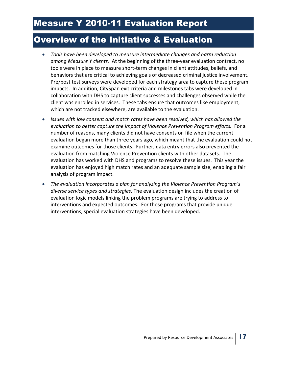- *Tools have been developed to measure intermediate changes and harm reduction among Measure Y clients.* At the beginning of the three-year evaluation contract, no tools were in place to measure short-term changes in client attitudes, beliefs, and behaviors that are critical to achieving goals of decreased criminal justice involvement. Pre/post test surveys were developed for each strategy area to capture these program impacts. In addition, CitySpan exit criteria and milestones tabs were developed in collaboration with DHS to capture client successes and challenges observed while the client was enrolled in services. These tabs ensure that outcomes like employment, which are not tracked elsewhere, are available to the evaluation.
- *Issues with low consent and match rates have been resolved, which has allowed the evaluation to better capture the impact of Violence Prevention Program efforts.* For a number of reasons, many clients did not have consents on file when the current evaluation began more than three years ago, which meant that the evaluation could not examine outcomes for those clients. Further, data entry errors also prevented the evaluation from matching Violence Prevention clients with other datasets. The evaluation has worked with DHS and programs to resolve these issues. This year the evaluation has enjoyed high match rates and an adequate sample size, enabling a fair analysis of program impact.
- *The evaluation incorporates a plan for analyzing the Violence Prevention Program's diverse service types and strategies.* The evaluation design includes the creation of evaluation logic models linking the problem programs are trying to address to interventions and expected outcomes. For those programs that provide unique interventions, special evaluation strategies have been developed.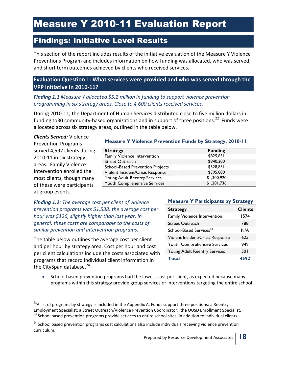## Findings: Initiative Level Results

This section of the report includes results of the initiative evaluation of the Measure Y Violence Preventions Program and includes information on how funding was allocated, who was served, and short term outcomes achieved by clients who received services.

#### **Evaluation Question 1: What services were provided and who was served through the VPP initiative in 2010-11?**

#### *Finding 1.1 Measure Y allocated \$5.2 million in funding to support violence prevention programming in six strategy areas. Close to 4,600 clients received services.*

During 2010-11, the Department of Human Services distributed close to five million dollars in funding to30 community-based organizations and in support of three positions.<sup>22</sup> Funds were allocated across six strategy areas, outlined in the table below.

*Clients Served:* Violence Prevention Programs served 4,592 clients during 2010-11 in six strategy areas. Family Violence Intervention enrolled the most clients, though many of these were participants at group events.

.

#### **Measure Y Violence Prevention Funds by Strategy, 2010-11**

| <b>Strategy</b>                         | <b>Funding</b> |
|-----------------------------------------|----------------|
| Family Violence Intervention            | \$825,831      |
| Street Outreach                         | \$940,200      |
| <b>School-Based Prevention Projects</b> | \$528,831      |
| Violent Incident/Crisis Response        | \$395,800      |
| Young Adult Reentry Services            | \$1,300,920    |
| Youth Comprehensive Services            | \$1,281,736    |

*Finding 1.2: The average cost per client of violence prevention programs was \$1,538; the average cost per hour was \$126, slightly higher than last year. In general, these costs are comparable to the costs of similar prevention and intervention programs.*

The table below outlines the average cost per client and per hour by strategy area. Cost per hour and cost per client calculations include the costs associated with programs that record individual client information in the CitySpan database.<sup>24</sup>

#### **Measure Y Participants by Strategy**

| <b>Strategy</b>                     | <b>Clients</b> |
|-------------------------------------|----------------|
| Family Violence Intervention        | 1574           |
| <b>Street Outreach</b>              | 788            |
| School-Based Services <sup>23</sup> | N/A            |
| Violent Incident/Crisis Response    | 625            |
| Youth Comprehensive Services        | 949            |
| Young Adult Reentry Services        | 50 I           |
| Total                               | 4592           |

• School-based prevention programs had the lowest cost per client, as expected because many programs within this strategy provide group services or interventions targeting the entire school

 $^{22}$ A list of programs by strategy is included in the Appendix A. Funds support three positions: a Reentry Employment Specialist; a Street Outreach/Violence Prevention Coordinator; the OUSD Enrollment Specialist. <sup>23</sup> School based prevention programs provide services to entire school sites, in addition to individual clients.

<sup>&</sup>lt;sup>24</sup> School based prevention programs cost calculations also include individuals receiving violence prevention curriculum.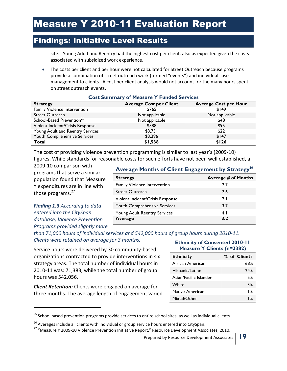### Findings: Initiative Level Results

site. Young Adult and Reentry had the highest cost per client, also as expected given the costs associated with subsidized work experience.

The costs per client and per hour were not calculated for Street Outreach because programs provide a combination of street outreach work (termed "events") and individual case management to clients. A cost per client analysis would not account for the many hours spent on street outreach events.

| <b>Strategy</b>                       | <b>Average Cost per Client</b> | <b>Average Cost per Hour</b> |
|---------------------------------------|--------------------------------|------------------------------|
| Family Violence Intervention          | \$765                          | \$149                        |
| <b>Street Outreach</b>                | Not applicable                 | Not applicable               |
| School-Based Prevention <sup>25</sup> | Not applicable                 | \$48                         |
| Violent Incident/Crisis Response      | \$588                          | \$95                         |
| Young Adult and Reentry Services      | \$3,751                        | \$22                         |
| Youth Comprehensive Services          | \$3,296                        | \$147                        |
| Total                                 | \$1,538                        | \$126                        |

#### **Cost Summary of Measure Y Funded Services**

The cost of providing violence prevention programming is similar to last year's (2009-10) figures. While standards for reasonable costs for such efforts have not been well established, a

2009-10 comparison with programs that serve a similar population found that Measure Y expenditures are in line with those programs.<sup>27</sup>

*Finding 1.3 According to data entered into the CitySpan database, Violence Prevention Programs provided slightly more* 

j

#### **Average Months of Client Engagement by Strategy<sup>26</sup>**

| <b>Strategy</b>                  | <b>Average # of Months</b> |
|----------------------------------|----------------------------|
| Family Violence Intervention     | 77                         |
| <b>Street Outreach</b>           | 2.6                        |
| Violent Incident/Crisis Response | 2.1                        |
| Youth Comprehensive Services     | 3.7                        |
| Young Adult Reentry Services     | 4.1                        |
| <b>Average</b>                   | 3.2                        |

*than 71,000 hours of individual services and 542,000 hours of group hours during 2010-11. Clients were retained on average for 3 months.* 

Service hours were delivered by 30 community-based organizations contracted to provide interventions in six strategy areas. The total number of individual hours in 2010-11 was: 71,383, while the total number of group hours was 542,056.

*Client Retention:* Clients were engaged on average for three months. The average length of engagement varied

#### **Ethnicity of Consented 2010-11 Measure Y Clients (n=2382)**

| <b>Ethnicity</b>       | % of Clients |
|------------------------|--------------|
| African American       | 68%          |
| Hispanic/Latino        | 24%          |
| Asian/Pacific Islander | 5%           |
| White                  | 3%           |
| Native American        | $1\%$        |
| Mixed/Other            | 1 %          |

 $25$  School based prevention programs provide services to entire school sites, as well as individual clients.

Prepared by Resource Development Associates **19**

<sup>&</sup>lt;sup>26</sup> Averages include all clients with individual or group service hours entered into CitySpan.

<sup>&</sup>lt;sup>27</sup> "Measure Y 2009-10 Violence Prevention Initiative Report." Resource Development Associates, 2010.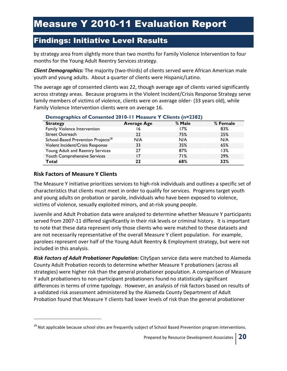### Findings: Initiative Level Results

by strategy area from slightly more than two months for Family Violence Intervention to four months for the Young Adult Reentry Services strategy.

*Client Demographics:* The majority (two-thirds) of clients served were African American male youth and young adults. About a quarter of clients were Hispanic/Latino.

The average age of consented clients was 22, though average age of clients varied significantly across strategy areas. Because programs in the Violent Incident/Crisis Response Strategy serve family members of victims of violence, clients were on average older- (33 years old), while Family Violence Intervention clients were on average 16.

| $\frac{1}{2}$ constructed $\frac{1}{2}$ of $\frac{1}{2}$ is the same interest of $\frac{1}{2}$ and $\frac{1}{2}$ |                    |        |          |
|------------------------------------------------------------------------------------------------------------------|--------------------|--------|----------|
| <b>Strategy</b>                                                                                                  | <b>Average Age</b> | % Male | % Female |
| Family Violence Intervention                                                                                     | 16                 | 17%    | 83%      |
| <b>Street Outreach</b>                                                                                           | 22                 | 75%    | 25%      |
| School-Based Prevention Projects <sup>28</sup>                                                                   | N/A                | N/A    | N/A      |
| Violent Incident/Crisis Response                                                                                 | 33                 | 35%    | 65%      |
| Young Adult and Reentry Services                                                                                 | 27                 | 87%    | 13%      |
| Youth Comprehensive Services                                                                                     | 17                 | 71%    | 29%      |
| Total                                                                                                            | 22                 | 68%    | 32%      |

#### **Demographics of Consented 2010-11 Measure Y Clients (n=2382)**

#### **Risk Factors of Measure Y Clients**

j

The Measure Y initiative prioritizes services to high-risk individuals and outlines a specific set of characteristics that clients must meet in order to qualify for services. Programs target youth and young adults on probation or parole, individuals who have been exposed to violence, victims of violence, sexually exploited minors, and at-risk young people.

Juvenile and Adult Probation data were analyzed to determine whether Measure Y participants served from 2007-11 differed significantly in their risk levels or criminal history. It is important to note that these data represent only those clients who were matched to these datasets and are not necessarily representative of the overall Measure Y client population. For example, parolees represent over half of the Young Adult Reentry & Employment strategy, but were not included in this analysis.

*Risk Factors of Adult Probationer Population:* CitySpan service data were matched to Alameda County Adult Probation records to determine whether Measure Y probationers (across all strategies) were higher risk than the general probationer population. A comparison of Measure Y adult probationers to non-participant probationers found no statistically significant differences in terms of crime typology. However, an analysis of risk factors based on results of a validated risk assessment administered by the Alameda County Department of Adult Probation found that Measure Y clients had lower levels of risk than the general probationer

<sup>&</sup>lt;sup>28</sup> Not applicable because school sites are frequently subject of School Based Prevention program interventions.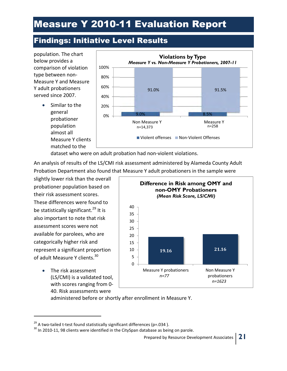## Findings: Initiative Level Results



dataset who were on adult probation had non-violent violations.

An analysis of results of the LS/CMI risk assessment administered by Alameda County Adult Probation Department also found that Measure Y adult probationers in the sample were

slightly lower risk than the overall probationer population based on their risk assessment scores. These differences were found to be statistically significant.<sup>29</sup> It is also important to note that risk assessment scores were not available for parolees, who are categorically higher risk and represent a significant proportion of adult Measure Y clients.<sup>30</sup>

> • The risk assessment (LS/CMI) is a validated tool, with scores ranging from 0- 40. Risk assessments were

j



administered before or shortly after enrollment in Measure Y.

 $^{29}$  A two-tailed t-test found statistically significant differences (p=.034).

 $30$  In 2010-11, 98 clients were identified in the CitySpan database as being on parole.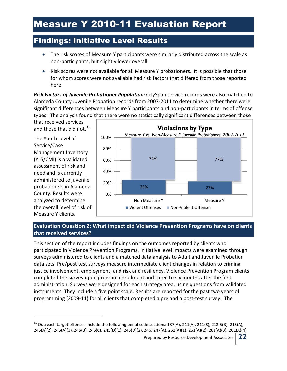### Findings: Initiative Level Results

- The risk scores of Measure Y participants were similarly distributed across the scale as non-participants, but slightly lower overall.
- Risk scores were not available for all Measure Y probationers. It is possible that those for whom scores were not available had risk factors that differed from those reported here.

*Risk Factors of Juvenile Probationer Population:* CitySpan service records were also matched to Alameda County Juvenile Probation records from 2007-2011 to determine whether there were significant differences between Measure Y participants and non-participants in terms of offense types. The analysis found that there were no statistically significant differences between those

that received services and those that did not.<sup>31</sup>

The Youth Level of Service/Case Management Inventory (YLS/CMI) is a validated assessment of risk and need and is currently administered to juvenile probationers in Alameda County. Results were analyzed to determine the overall level of risk of Measure Y clients.

j



#### **Evaluation Question 2: What impact did Violence Prevention Programs have on clients that received services?**

This section of the report includes findings on the outcomes reported by clients who participated in Violence Prevention Programs. Initiative level impacts were examined through surveys administered to clients and a matched data analysis to Adult and Juvenile Probation data sets. Pre/post test surveys measure intermediate client changes in relation to criminal justice involvement, employment, and risk and resiliency. Violence Prevention Program clients completed the survey upon program enrollment and three to six months after the first administration. Surveys were designed for each strategy area, using questions from validated instruments. They include a five point scale. Results are reported for the past two years of programming (2009-11) for all clients that completed a pre and a post-test survey. The

Prepared by Resource Development Associates **22**

 $31$  Outreach target offenses include the following penal code sections: 187(A), 211(A), 211(S), 212.5(B), 215(A), 245(A)(2), 245(A)(3), 245(B), 245(C), 245(D)(1), 245(D)(2), 246, 247(A), 261(A)(1), 261(A)(2), 261(A)(3), 261(A)(4)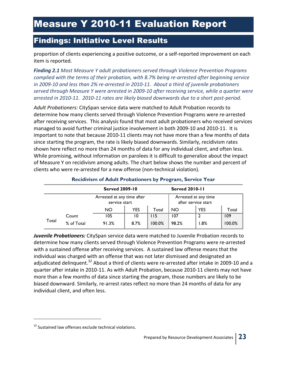### Findings: Initiative Level Results

proportion of clients experiencing a positive outcome, or a self-reported improvement on each item is reported.

*Finding 2.1 Most Measure Y adult probationers served through Violence Prevention Programs complied with the terms of their probation, with 8.7% being re-arrested after beginning service in 2009-10 and less than 2% re-arrested in 2010-11. About a third of juvenile probationers served through Measure Y were arrested in 2009-10 after receiving service, while a quarter were arrested in 2010-11. 2010-11 rates are likely biased downwards due to a short post-period.* 

*Adult Probationers:* CitySpan service data were matched to Adult Probation records to determine how many clients served through Violence Prevention Programs were re-arrested after receiving services. This analysis found that most adult probationers who received services managed to avoid further criminal justice involvement in both 2009-10 and 2010-11. It is important to note that because 2010-11 clients may not have more than a few months of data since starting the program, the rate is likely biased downwards. Similarly, recidivism rates shown here reflect no more than 24 months of data for any individual client, and often less. While promising, without information on parolees it is difficult to generalize about the impact of Measure Y on recidivism among adults. The chart below shows the number and percent of clients who were re-arrested for a new offense (non-technical violation).

|       |            | <b>Served 2009-10</b><br>Arrested at any time after<br>service start |      |        | <b>Served 2010-11</b>                       |            |        |
|-------|------------|----------------------------------------------------------------------|------|--------|---------------------------------------------|------------|--------|
|       |            |                                                                      |      |        | Arrested at any time<br>after service start |            |        |
|       |            | <b>NO</b>                                                            | YES  | Total  | <b>NO</b>                                   | <b>YES</b> | Total  |
|       | Count      | 105                                                                  | 10   | 115    | 107                                         |            | 109    |
| Total | % of Total | 91.3%                                                                | 8.7% | 100.0% | 98.2%                                       | 8%. ا      | 100.0% |

#### **Recidivism of Adult Probationers by Program, Service Year**

*Juvenile Probationers:* CitySpan service data were matched to Juvenile Probation records to determine how many clients served through Violence Prevention Programs were re-arrested with a sustained offense after receiving services. A sustained law offense means that the individual was charged with an offense that was not later dismissed and designated an adjudicated delinquent.<sup>32</sup> About a third of clients were re-arrested after intake in 2009-10 and a quarter after intake in 2010-11. As with Adult Probation, because 2010-11 clients may not have more than a few months of data since starting the program, those numbers are likely to be biased downward. Similarly, re-arrest rates reflect no more than 24 months of data for any individual client, and often less.

.

<sup>&</sup>lt;sup>32</sup> Sustained law offenses exclude technical violations.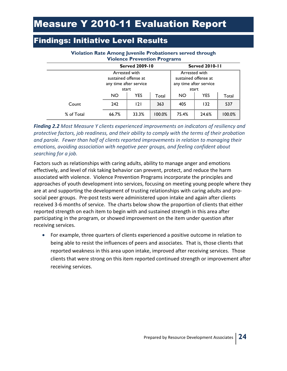### Findings: Initiative Level Results

| <b>Violence Prevention Programs</b> |                                                                          |                       |        |                                                                          |            |           |  |  |  |
|-------------------------------------|--------------------------------------------------------------------------|-----------------------|--------|--------------------------------------------------------------------------|------------|-----------|--|--|--|
|                                     |                                                                          | <b>Served 2009-10</b> |        | <b>Served 2010-11</b>                                                    |            |           |  |  |  |
|                                     | Arrested with<br>sustained offense at<br>any time after service<br>start |                       |        | Arrested with<br>sustained offense at<br>any time after service<br>start |            |           |  |  |  |
|                                     | <b>YES</b><br><b>NO</b><br>Total                                         |                       |        | <b>NO</b>                                                                | <b>YES</b> | Total     |  |  |  |
| Count                               | 242                                                                      | 2                     | 363    | 405                                                                      | 132        | 537       |  |  |  |
| % of Total                          | 66.7%                                                                    | 33.3%                 | 100.0% | 75.4%                                                                    | 24.6%      | $100.0\%$ |  |  |  |

#### **Violation Rate Among Juvenile Probationers served through Violence Prevention Programs**

#### *Finding 2.2 Most Measure Y clients experienced improvements on indicators of resiliency and protective factors, job readiness, and their ability to comply with the terms of their probation and parole. Fewer than half of clients reported improvements in relation to managing their emotions, avoiding association with negative peer groups, and feeling confident about searching for a job.*

Factors such as relationships with caring adults, ability to manage anger and emotions effectively, and level of risk taking behavior can prevent, protect, and reduce the harm associated with violence. Violence Prevention Programs incorporate the principles and approaches of youth development into services, focusing on meeting young people where they are at and supporting the development of trusting relationships with caring adults and prosocial peer groups. Pre-post tests were administered upon intake and again after clients received 3-6 months of service. The charts below show the proportion of clients that either reported strength on each item to begin with and sustained strength in this area after participating in the program, or showed improvement on the item under question after receiving services.

• For example, three quarters of clients experienced a positive outcome in relation to being able to resist the influences of peers and associates. That is, those clients that reported weakness in this area upon intake, improved after receiving services. Those clients that were strong on this item reported continued strength or improvement after receiving services.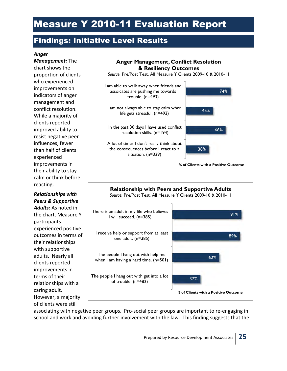### Findings: Initiative Level Results

#### *Anger*

*Management:* The chart shows the proportion of clients who experienced improvements on indicators of anger management and conflict resolution. While a majority of clients reported improved ability to resist negative peer influences, fewer than half of clients experienced improvements in their ability to stay calm or think before reacting.

#### *Relationships with Peers & Supportive*

*Adults:* As noted in the chart, Measure Y participants experienced positive outcomes in terms of their relationships with supportive adults. Nearly all clients reported improvements in terms of their relationships with a caring adult. However, a majority of clients were still





associating with negative peer groups. Pro-social peer groups are important to re-engaging in school and work and avoiding further involvement with the law. This finding suggests that the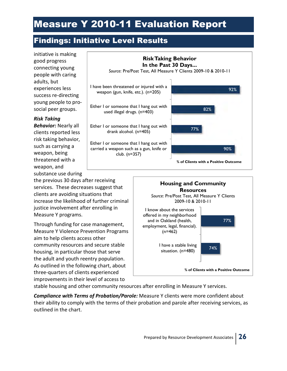## Findings: Initiative Level Results

initiative is making good progress connecting young people with caring adults, but experiences less success re-directing young people to prosocial peer groups.

#### *Risk Taking*

*Behavior:* Nearly all clients reported less risk taking behavior, such as carrying a weapon, being threatened with a weapon, and substance use during

the previous 30 days after receiving services. These decreases suggest that clients are avoiding situations that increase the likelihood of further criminal justice involvement after enrolling in Measure Y programs.

Through funding for case management, Measure Y Violence Prevention Programs aim to help clients access other community resources and secure stable housing, in particular those that serve the adult and youth reentry population. As outlined in the following chart, about three-quarters of clients experienced improvements in their level of access to





stable housing and other community resources after enrolling in Measure Y services.

*Compliance with Terms of Probation/Parole:* Measure Y clients were more confident about their ability to comply with the terms of their probation and parole after receiving services, as outlined in the chart.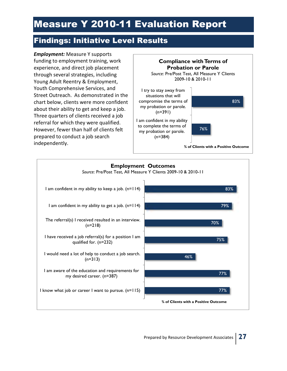## Findings: Initiative Level Results

*Employment:* Measure Y supports funding to employment training, work experience, and direct job placement through several strategies, including Young Adult Reentry & Employment, Youth Comprehensive Services, and Street Outreach. As demonstrated in the chart below, clients were more confident about their ability to get and keep a job. Three quarters of clients received a job referral for which they were qualified. However, fewer than half of clients felt prepared to conduct a job search independently.



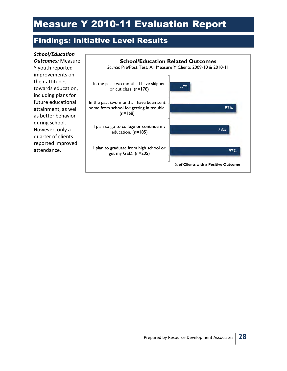## Findings: Initiative Level Results

92% 78% 87% 27% I plan to graduate from high school or get my GED. (n=205) I plan to go to college or continue my education. (n=185) In the past two months I have been sent home from school for getting in trouble.  $(n=168)$ In the past two months I have skipped or cut class. (n=178) **% of Clients with a Positive Outcome School/Education Related Outcomes** *Source*: Pre/Post Test, All Measure Y Clients 2009-10 & 2010-11 *School/Education Outcomes:* Measure Y youth reported improvements on their attitudes towards education, including plans for future educational attainment, as well as better behavior during school. However, only a quarter of clients reported improved attendance.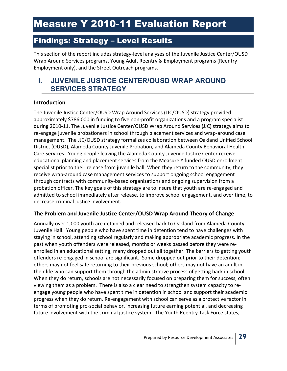### Findings: Strategy – Level Results

This section of the report includes strategy-level analyses of the Juvenile Justice Center/OUSD Wrap Around Services programs, Young Adult Reentry & Employment programs (Reentry Employment only), and the Street Outreach programs.

### **I. JUVENILE JUSTICE CENTER/OUSD WRAP AROUND SERVICES STRATEGY**

#### **Introduction**

The Juvenile Justice Center/OUSD Wrap Around Services (JJC/OUSD) strategy provided approximately \$786,000 in funding to five non-profit organizations and a program specialist during 2010-11. The Juvenile Justice Center/OUSD Wrap Around Services (JJC) strategy aims to re-engage juvenile probationers in school through placement services and wrap-around case management. The JJC/OUSD strategy formalizes collaboration between Oakland Unified School District (OUSD), Alameda County Juvenile Probation, and Alameda County Behavioral Health Care Services. Young people leaving the Alameda County Juvenile Justice Center receive educational planning and placement services from the Measure Y funded OUSD enrollment specialist prior to their release from juvenile hall. When they return to the community, they receive wrap-around case management services to support ongoing school engagement through contracts with community-based organizations and ongoing supervision from a probation officer. The key goals of this strategy are to insure that youth are re-engaged and admitted to school immediately after release, to improve school engagement, and over time, to decrease criminal justice involvement.

#### **The Problem and Juvenile Justice Center/OUSD Wrap Around Theory of Change**

Annually over 1,000 youth are detained and released back to Oakland from Alameda County Juvenile Hall. Young people who have spent time in detention tend to have challenges with staying in school, attending school regularly and making appropriate academic progress. In the past when youth offenders were released, months or weeks passed before they were reenrolled in an educational setting; many dropped out all together. The barriers to getting youth offenders re-engaged in school are significant. Some dropped out prior to their detention; others may not feel safe returning to their previous school; others may not have an adult in their life who can support them through the administrative process of getting back in school. When they do return, schools are not necessarily focused on preparing them for success, often viewing them as a problem. There is also a clear need to strengthen system capacity to reengage young people who have spent time in detention in school and support their academic progress when they do return. Re-engagement with school can serve as a protective factor in terms of promoting pro-social behavior, increasing future earning potential, and decreasing future involvement with the criminal justice system. The Youth Reentry Task Force states,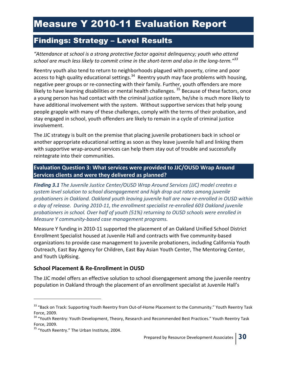### Findings: Strategy – Level Results

*"Attendance at school is a strong protective factor against delinquency; youth who attend school are much less likely to commit crime in the short-term and also in the long-term."<sup>33</sup>*

Reentry youth also tend to return to neighborhoods plagued with poverty, crime and poor access to high quality educational settings.<sup>34</sup> Reentry youth may face problems with housing, negative peer groups or re-connecting with their family. Further, youth offenders are more likely to have learning disabilities or mental health challenges.<sup>35</sup> Because of these factors, once a young person has had contact with the criminal justice system, he/she is much more likely to have additional involvement with the system. Without supportive services that help young people grapple with many of these challenges, comply with the terms of their probation, and stay engaged in school, youth offenders are likely to remain in a cycle of criminal justice involvement.

The JJC strategy is built on the premise that placing juvenile probationers back in school or another appropriate educational setting as soon as they leave juvenile hall and linking them with supportive wrap-around services can help them stay out of trouble and successfully reintegrate into their communities.

**Evaluation Question 3: What services were provided to JJC/OUSD Wrap Around Services clients and were they delivered as planned?** 

*Finding 3.1 The Juvenile Justice Center/OUSD Wrap Around Services (JJC) model creates a system level solution to school disengagement and high drop out rates among juvenile probationers in Oakland. Oakland youth leaving juvenile hall are now re-enrolled in OUSD within a day of release. During 2010-11, the enrollment specialist re-enrolled 603 Oakland juvenile probationers in school. Over half of youth (51%) returning to OUSD schools were enrolled in Measure Y community-based case management programs.* 

Measure Y funding in 2010-11 supported the placement of an Oakland Unified School District Enrollment Specialist housed at Juvenile Hall and contracts with five community-based organizations to provide case management to juvenile probationers, including California Youth Outreach, East Bay Agency for Children, East Bay Asian Youth Center, The Mentoring Center, and Youth UpRising.

#### **School Placement & Re-Enrollment in OUSD**

The JJC model offers an effective solution to school disengagement among the juvenile reentry population in Oakland through the placement of an enrollment specialist at Juvenile Hall's

j

<sup>&</sup>lt;sup>33</sup> "Back on Track: Supporting Youth Reentry from Out-of-Home Placement to the Community." Youth Reentry Task Force, 2009.

<sup>&</sup>lt;sup>34</sup> "Youth Reentry: Youth Development, Theory, Research and Recommended Best Practices." Youth Reentry Task Force, 2009.

<sup>&</sup>lt;sup>35</sup> "Youth Reentry." The Urban Institute, 2004.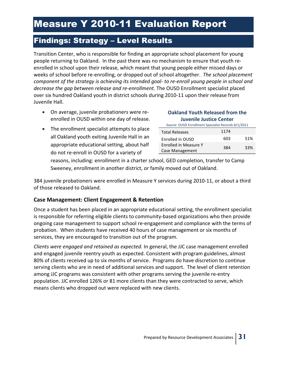### Findings: Strategy – Level Results

Transition Center, who is responsible for finding an appropriate school placement for young people returning to Oakland. In the past there was no mechanism to ensure that youth reenrolled in school upon their release, which meant that young people either missed days or weeks of school before re-enrolling, or dropped out of school altogether. *The school placement component of the strategy is achieving its intended goal- to re-enroll young people in school and decrease the gap between release and re-enrollment.* The OUSD Enrollment specialist placed over six hundred Oakland youth in district schools during 2010-11 upon their release from Juvenile Hall.

- On average, juvenile probationers were reenrolled in OUSD within one day of release.
- **Oakland Youth Released from the Juvenile Justice Center**
- The enrollment specialist attempts to place all Oakland youth exiting Juvenile Hall in an appropriate educational setting, about half do not re-enroll in OUSD for a variety of

#### *Source*: OUSD Enrollment Specialist Records 8/1/2011 Total Releases 1174 Enrolled in OUSD 603 51% Enrolled in Measure Y Embred in Measure<br>Case Management 384 33%

reasons, including: enrollment in a charter school, GED completion, transfer to Camp Sweeney, enrollment in another district, or family moved out of Oakland.

384 juvenile probationers were enrolled in Measure Y services during 2010-11, or about a third of those released to Oakland.

#### **Case Management: Client Engagement & Retention**

Once a student has been placed in an appropriate educational setting, the enrollment specialist is responsible for referring eligible clients to community-based organizations who then provide ongoing case management to support school re-engagement and compliance with the terms of probation. When students have received 40 hours of case management or six months of services, they are encouraged to transition out of the program.

*Clients were engaged and retained as expected.* In general, the JJC case management enrolled and engaged juvenile reentry youth as expected. Consistent with program guidelines, almost 80% of clients received up to six months of service. Programs do have discretion to continue serving clients who are in need of additional services and support. The level of client retention among JJC programs was consistent with other programs serving the juvenile re-entry population. JJC enrolled 126% or 81 more clients than they were contracted to serve, which means clients who dropped out were replaced with new clients.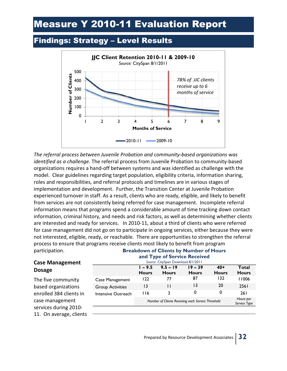## Findings: Strategy – Level Results



*The referral process between Juvenile Probation and community-based organizations was identified as a challenge.* The referral process from Juvenile Probation to community-based organizations requires a hand-off between systems and was identified as challenge with the model. Clear guidelines regarding target population, eligibility criteria, information sharing, roles and responsibilities, and referral protocols and timelines are in various stages of implementation and development. Further, the Transition Center at Juvenile Probation experienced turnover in staff. As a result, clients who are ready, eligible, and likely to benefit from services are not consistently being referred for case management. Incomplete referral information means that programs spend a considerable amount of time tracking down contact information, criminal history, and needs and risk factors, as well as determining whether clients are interested and ready for services. In 2010-11, about a third of clients who were referred for case management did not go on to participate in ongoing services, either because they were not interested, eligible, ready, or reachable. There are opportunities to strengthen the referral process to ensure that programs receive clients most likely to benefit from program participation.

#### **Breakdown of Clients by Number of Hours and Type of Service Received** *Source*: CitySpan Download 8/1/2011

### **Case Management Dosage**

The five community based organizations enrolled 384 clients in case management services during 2010- 11. On average, clients

|                         | $1 - 9.5$<br><b>Hours</b>                          | $9.5 - 19$<br><b>Hours</b> | $19 - 39$<br><b>Hours</b> | $40+$<br><b>Hours</b> | Total<br><b>Hours</b> |
|-------------------------|----------------------------------------------------|----------------------------|---------------------------|-----------------------|-----------------------|
| Case Management         | 122                                                | 77                         | 87                        | 132                   | 11006                 |
| <b>Group Activities</b> | 13                                                 | Ħ                          | 13                        | 20                    | 2561                  |
| Intensive Outreach      | 116                                                | 3                          | 0                         | 0                     | <b>261</b>            |
|                         | Number of Clients Receiving each Service Threshold | Hours per<br>Service Type  |                           |                       |                       |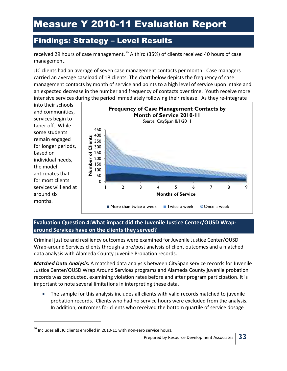## Findings: Strategy – Level Results

received 29 hours of case management.<sup>36</sup> A third (35%) of clients received 40 hours of case management.

JJC clients had an average of seven case management contacts per month. Case managers carried an average caseload of 18 clients. The chart below depicts the frequency of case management contacts by month of service and points to a high level of service upon intake and an expected decrease in the number and frequency of contacts over time. Youth receive more intensive services during the period immediately following their release. As they re-integrate

into their schools and communities, services begin to taper off. While some students remain engaged for longer periods, based on individual needs, the model anticipates that for most clients services will end at around six months.

 $\overline{a}$ 



#### **Evaluation Question 4:What impact did the Juvenile Justice Center/OUSD Wraparound Services have on the clients they served?**

Criminal justice and resiliency outcomes were examined for Juvenile Justice Center/OUSD Wrap-around Services clients through a pre/post analysis of client outcomes and a matched data analysis with Alameda County Juvenile Probation records.

*Matched Data Analysis:* A matched data analysis between CitySpan service records for Juvenile Justice Center/OUSD Wrap Around Services programs and Alameda County juvenile probation records was conducted, examining violation rates before and after program participation. It is important to note several limitations in interpreting these data.

• The sample for this analysis includes all clients with valid records matched to juvenile probation records. Clients who had no service hours were excluded from the analysis. In addition, outcomes for clients who received the bottom quartile of service dosage

 $36$  Includes all JJC clients enrolled in 2010-11 with non-zero service hours.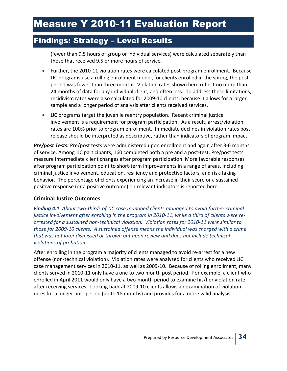### Findings: Strategy – Level Results

(fewer than 9.5 hours of group or individual services) were calculated separately than those that received 9.5 or more hours of service.

- Further, the 2010-11 violation rates were calculated post-program enrollment. Because JJC programs use a rolling enrollment model, for clients enrolled in the spring, the post period was fewer than three months. Violation rates shown here reflect no more than 24 months of data for any individual client, and often less. To address these limitations, recidivism rates were also calculated for 2009-10 clients, because it allows for a larger sample and a longer period of analysis after clients received services.
- JJC programs target the juvenile reentry population. Recent criminal justice involvement is a requirement for program participation. As a result, arrest/violation rates are 100% prior to program enrollment. Immediate declines in violation rates postrelease should be interpreted as descriptive, rather than indicators of program impact.

*Pre/post Tests:* Pre/post tests were administered upon enrollment and again after 3-6 months of service. Among JJC participants, 160 completed both a pre and a post-test. Pre/post tests measure intermediate client changes after program participation. More favorable responses after program participation point to short-term improvements in a range of areas, including: criminal justice involvement, education, resiliency and protective factors, and risk-taking behavior. The percentage of clients experiencing an increase in their score or a sustained positive response (or a positive outcome) on relevant indicators is reported here.

#### **Criminal Justice Outcomes**

*Finding 4.1. About two-thirds of JJC case managed clients managed to avoid further criminal justice involvement after enrolling in the program in 2010-11, while a third of clients were rearrested for a sustained non-technical violation. Violation rates for 2010-11 were similar to those for 2009-10 clients. A sustained offense means the individual was charged with a crime that was not later dismissed or thrown out upon review and does not include technical violations of probation.* 

After enrolling in the program a majority of clients managed to avoid re-arrest for a new offense (non-technical violation). Violation rates were analyzed for clients who received JJC case management services in 2010-11, as well as 2009-10. Because of rolling enrollment, many clients served in 2010-11 only have a one to two month post period. For example, a client who enrolled in April 2011 would only have a two-month period to examine his/her violation rate after receiving services. Looking back at 2009-10 clients allows an examination of violation rates for a longer post period (up to 18 months) and provides for a more valid analysis.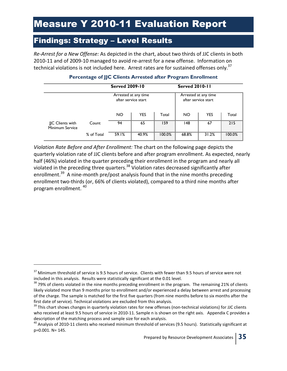### Findings: Strategy – Level Results

*Re-Arrest for a New Offense:* As depicted in the chart, about two thirds of JJC clients in both 2010-11 and of 2009-10 managed to avoid re-arrest for a new offense. Information on technical violations is not included here. Arrest rates are for sustained offenses only.<sup>37</sup>

|                                     |            | <b>Served 2009-10</b>                       |            |        | <b>Served 2010-11</b>                       |            |        |  |
|-------------------------------------|------------|---------------------------------------------|------------|--------|---------------------------------------------|------------|--------|--|
|                                     |            | Arrested at any time<br>after service start |            |        | Arrested at any time<br>after service start |            |        |  |
|                                     |            | <b>NO</b>                                   | <b>YES</b> | Total  | NO.                                         | <b>YES</b> | Total  |  |
| JJC Clients with<br>Minimum Service | Count      | 94                                          | 65         | 159    | 148                                         | 67         | 215    |  |
|                                     | % of Total | 59.1%                                       | 40.9%      | 100.0% | 68.8%                                       | 31.2%      | 100.0% |  |

#### **Percentage of JJC Clients Arrested after Program Enrollment**

*Violation Rate Before and After Enrollment:* The chart on the following page depicts the quarterly violation rate of JJC clients before and after program enrollment. As expected, nearly half (46%) violated in the quarter preceding their enrollment in the program and nearly all violated in the preceding three quarters.<sup>38</sup> Violation rates decreased significantly after enrollment.<sup>39</sup> A nine-month pre/post analysis found that in the nine months preceding enrollment two-thirds (or, 66% of clients violated), compared to a third nine months after program enrollment. <sup>40</sup>

-

<sup>&</sup>lt;sup>37</sup> Minimum threshold of service is 9.5 hours of service. Clients with fewer than 9.5 hours of service were not included in this analysis. Results were statistically significant at the 0.01 level.

<sup>&</sup>lt;sup>38</sup> 79% of clients violated in the nine months preceding enrollment in the program. The remaining 21% of clients likely violated more than 9 months prior to enrollment and/or experienced a delay between arrest and processing of the charge. The sample is matched for the first five quarters (from nine months before to six months after the first date of service). Technical violations are excluded from this analysis.

 $39$  This chart shows changes in quarterly violation rates for new offenses (non-technical violations) for JJC clients who received at least 9.5 hours of service in 2010-11. Sample n is shown on the right axis. Appendix C provides a description of the matching process and sample size for each analysis.

 $^{40}$  Analysis of 2010-11 clients who received minimum threshold of services (9.5 hours). Statistically significant at p=0.001. N= 145.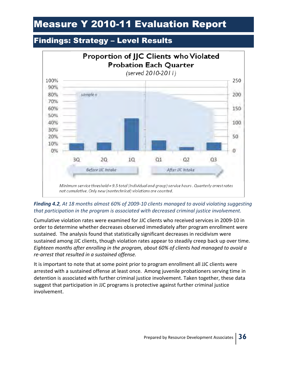## Findings: Strategy – Level Results



#### *Finding 4.2, At 18 months almost 60% of 2009-10 clients managed to avoid violating suggesting that participation in the program is associated with decreased criminal justice involvement.*

Cumulative violation rates were examined for JJC clients who received services in 2009-10 in order to determine whether decreases observed immediately after program enrollment were sustained. The analysis found that statistically significant decreases in recidivism were sustained among JJC clients, though violation rates appear to steadily creep back up over time. *Eighteen months after enrolling in the program, about 60% of clients had managed to avoid a re-arrest that resulted in a sustained offense.*

It is important to note that at some point prior to program enrollment all JJC clients were arrested with a sustained offense at least once. Among juvenile probationers serving time in detention is associated with further criminal justice involvement. Taken together, these data suggest that participation in JJC programs is protective against further criminal justice involvement.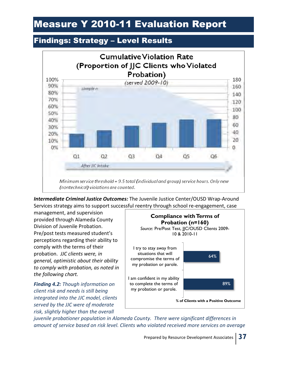### Findings: Strategy – Level Results



*Intermediate Criminal Justice Outcomes:* The Juvenile Justice Center/OUSD Wrap-Around Services strategy aims to support successful reentry through school re-engagement, case

management, and supervision provided through Alameda County Division of Juvenile Probation. Pre/post tests measured student's perceptions regarding their ability to comply with the terms of their probation. *JJC clients were, in general, optimistic about their ability to comply with probation, as noted in the following chart.*

*Finding 4.2: Though information on client risk and needs is still being integrated into the JJC model, clients served by the JJC were of moderate risk, slightly higher than the overall* 



*juvenile probationer population in Alameda County. There were significant differences in amount of service based on risk level. Clients who violated received more services on average*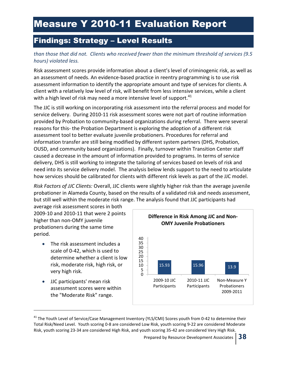### Findings: Strategy – Level Results

#### *than those that did not. Clients who received fewer than the minimum threshold of services (9.5 hours) violated less.*

Risk assessment scores provide information about a client's level of criminogenic risk, as well as an assessment of needs. An evidence-based practice in reentry programming is to use risk assessment information to identify the appropriate amount and type of services for clients. A client with a relatively low level of risk, will benefit from less intensive services, while a client with a high level of risk may need a more intensive level of support. $^{41}$ 

The JJC is still working on incorporating risk assessment into the referral process and model for service delivery. During 2010-11 risk assessment scores were not part of routine information provided by Probation to community-based organizations during referral. There were several reasons for this- the Probation Department is exploring the adoption of a different risk assessment tool to better evaluate juvenile probationers. Procedures for referral and information transfer are still being modified by different system partners (DHS, Probation, OUSD, and community based organizations). Finally, turnover within Transition Center staff caused a decrease in the amount of information provided to programs. In terms of service delivery, DHS is still working to integrate the tailoring of services based on levels of risk and need into its service delivery model. The analysis below lends support to the need to articulate how services should be calibrated for clients with different risk levels as part of the JJC model.

*Risk Factors of JJC Clients:* Overall, JJC clients were slightly higher risk than the average juvenile probationer in Alameda County, based on the results of a validated risk and needs assessment, but still well within the moderate risk range. The analysis found that JJC participants had

average risk assessment scores in both 2009-10 and 2010-11 that were 2 points higher than non-OMY juvenile probationers during the same time period.

- The risk assessment includes a scale of 0-42, which is used to determine whether a client is low risk, moderate risk, high risk, or very high risk.
- JJC participants' mean risk assessment scores were within the "Moderate Risk" range.

.



<sup>&</sup>lt;sup>41</sup> The Youth Level of Service/Case Management Inventory (YLS/CMI) Scores youth from 0-42 to determine their Total Risk/Need Level. Youth scoring 0-8 are considered Low Risk, youth scoring 9-22 are considered Moderate Risk, youth scoring 23-34 are considered High Risk, and youth scoring 35-42 are considered Very High Risk.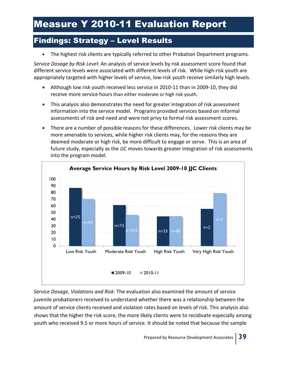## Findings: Strategy – Level Results

The highest risk clients are typically referred to other Probation Department programs.

*Service Dosage by Risk Level:* An analysis of service levels by risk assessment score found that different service levels were associated with different levels of risk. While high-risk youth are appropriately targeted with higher levels of service, low-risk youth receive similarly high levels.

- Although low risk youth received less service in 2010-11 than in 2009-10, they did receive more service hours than either moderate or high risk youth.
- This analysis also demonstrates the need for greater integration of risk assessment information into the service model. Programs provided services based on informal assessments of risk and need and were not privy to formal risk assessment scores.
- There are a number of possible reasons for these differences. Lower risk clients may be more amenable to services, while higher risk clients may, for the reasons they are deemed moderate or high risk, be more difficult to engage or serve. This is an area of future study, especially as the JJC moves towards greater integration of risk assessments into the program model.



*Service Dosage, Violations and Risk:* The evaluation also examined the amount of service juvenile probationers received to understand whether there was a relationship between the amount of service clients received and violation rates based on levels of risk. This analysis also shows that the higher the risk score, the more likely clients were to recidivate especially among youth who received 9.5 or more hours of service. It should be noted that because the sample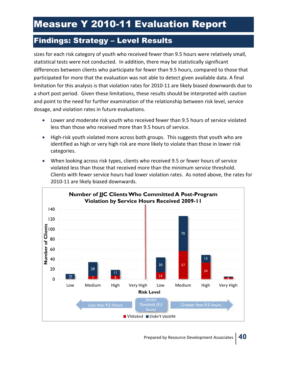## Findings: Strategy – Level Results

sizes for each risk category of youth who received fewer than 9.5 hours were relatively small, statistical tests were not conducted. In addition, there may be statistically significant differences between clients who participate for fewer than 9.5 hours, compared to those that participated for more that the evaluation was not able to detect given available data. A final limitation for this analysis is that violation rates for 2010-11 are likely biased downwards due to a short post period. Given these limitations, these results should be interpreted with caution and point to the need for further examination of the relationship between risk level, service dosage, and violation rates in future evaluations.

- Lower and moderate risk youth who received fewer than 9.5 hours of service violated less than those who received more than 9.5 hours of service.
- High-risk youth violated more across both groups. This suggests that youth who are identified as high or very high risk are more likely to violate than those in lower risk categories.
- When looking across risk types, clients who received 9.5 or fewer hours of service violated less than those that received more than the minimum service threshold. Clients with fewer service hours had lower violation rates. As noted above, the rates for 2010-11 are likely biased downwards.

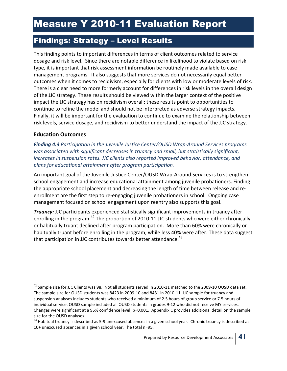## Findings: Strategy – Level Results

This finding points to important differences in terms of client outcomes related to service dosage and risk level. Since there are notable difference in likelihood to violate based on risk type, it is important that risk assessment information be routinely made available to case management programs. It also suggests that more services do not necessarily equal better outcomes when it comes to recidivism, especially for clients with low or moderate levels of risk. There is a clear need to more formerly account for differences in risk levels in the overall design of the JJC strategy. These results should be viewed within the larger context of the positive impact the JJC strategy has on recidivism overall; these results point to opportunities to continue to refine the model and should not be interpreted as adverse strategy impacts. Finally, it will be important for the evaluation to continue to examine the relationship between risk levels, service dosage, and recidivism to better understand the impact of the JJC strategy.

#### **Education Outcomes**

.

*Finding 4.3 Participation in the Juvenile Justice Center/OUSD Wrap-Around Services programs was associated with significant decreases in truancy and small, but statistically significant, increases in suspension rates. JJC clients also reported improved behavior, attendance, and plans for educational attainment after program participation.* 

An important goal of the Juvenile Justice Center/OUSD Wrap-Around Services is to strengthen school engagement and increase educational attainment among juvenile probationers. Finding the appropriate school placement and decreasing the length of time between release and reenrollment are the first step to re-engaging juvenile probationers in school. Ongoing case management focused on school engagement upon reentry also supports this goal.

**Truancy:** JJC participants experienced statistically significant improvements in truancy after enrolling in the program.<sup>42</sup> The proportion of 2010-11 JJC students who were either chronically or habitually truant declined after program participation. More than 60% were chronically or habitually truant before enrolling in the program, while less 40% were after. These data suggest that participation in JJC contributes towards better attendance.<sup>43</sup>

<sup>&</sup>lt;sup>42</sup> Sample size for JJC Clients was 98. Not all students served in 2010-11 matched to the 2009-10 OUSD data set. The sample size for OUSD students was 8423 in 2009-10 and 8481 in 2010-11. JJC sample for truancy and suspension analyses includes students who received a minimum of 2.5 hours of group service or 7.5 hours of individual service. OUSD sample included all OUSD students in grades 9-12 who did not receive MY services. Changes were significant at a 95% confidence level; p=0.001. Appendix C provides additional detail on the sample size for the OUSD analyses.

 $43$  Habitual truancy is described as 5-9 unexcused absences in a given school year. Chronic truancy is described as 10+ unexcused absences in a given school year. The total n=95.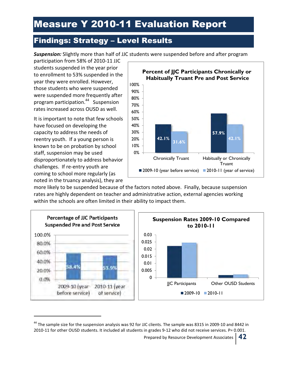## Findings: Strategy – Level Results

*Suspension:* Slightly more than half of JJC students were suspended before and after program

participation from 58% of 2010-11 JJC students suspended in the year prior to enrollment to 53% suspended in the year they were enrolled. However, those students who were suspended were suspended more frequently after program participation.<sup>44</sup> Suspension rates increased across OUSD as well.

It is important to note that few schools have focused on developing the capacity to address the needs of reentry youth. If a young person is known to be on probation by school staff, suspension may be used disproportionately to address behavior challenges. If re-entry youth are coming to school more regularly (as noted in the truancy analysis), they are

j



more likely to be suspended because of the factors noted above. Finally, because suspension rates are highly dependent on teacher and administrative action, external agencies working within the schools are often limited in their ability to impact them.



<sup>&</sup>lt;sup>44</sup> The sample size for the suspension analysis was 92 for JJC clients. The sample was 8315 in 2009-10 and 8442 in 2010-11 for other OUSD students. It included all students in grades 9-12 who did not receive services. P= 0.001.

Prepared by Resource Development Associates **42**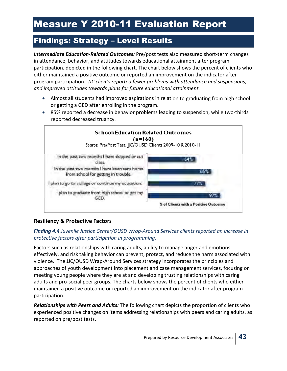## Findings: Strategy – Level Results

*Intermediate Education-Related Outcomes:* Pre/post tests also measured short-term changes in attendance, behavior, and attitudes towards educational attainment after program participation, depicted in the following chart. The chart below shows the percent of clients who either maintained a positive outcome or reported an improvement on the indicator after program participation. *JJC clients reported fewer problems with attendance and suspensions, and improved attitudes towards plans for future educational attainment.*

- Almost all students had improved aspirations in relation to graduating from high school or getting a GED after enrolling in the program.
- 85% reported a decrease in behavior problems leading to suspension, while two-thirds reported decreased truancy.



#### **Resiliency & Protective Factors**

#### *Finding 4.4 Juvenile Justice Center/OUSD Wrap-Around Services clients reported an increase in protective factors after participation in programming.*

Factors such as relationships with caring adults, ability to manage anger and emotions effectively, and risk taking behavior can prevent, protect, and reduce the harm associated with violence. The JJC/OUSD Wrap-Around Services strategy incorporates the principles and approaches of youth development into placement and case management services, focusing on meeting young people where they are at and developing trusting relationships with caring adults and pro-social peer groups. The charts below shows the percent of clients who either maintained a positive outcome or reported an improvement on the indicator after program participation.

*Relationships with Peers and Adults:* The following chart depicts the proportion of clients who experienced positive changes on items addressing relationships with peers and caring adults, as reported on pre/post tests.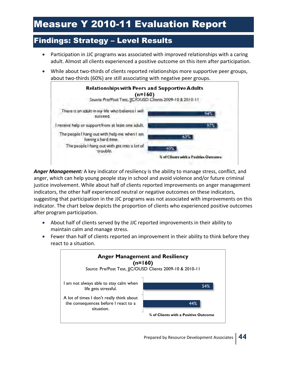## Findings: Strategy – Level Results

- Participation in JJC programs was associated with improved relationships with a caring adult. Almost all clients experienced a positive outcome on this item after participation.
- While about two-thirds of clients reported relationships more supportive peer groups, about two-thirds (60%) are still associating with negative peer groups.



*Anger Management:* A key indicator of resiliency is the ability to manage stress, conflict, and anger, which can help young people stay in school and avoid violence and/or future criminal justice involvement. While about half of clients reported improvements on anger management indicators, the other half experienced neutral or negative outcomes on these indicators, suggesting that participation in the JJC programs was not associated with improvements on this indicator. The chart below depicts the proportion of clients who experienced positive outcomes after program participation.

- About half of clients served by the JJC reported improvements in their ability to maintain calm and manage stress.
- Fewer than half of clients reported an improvement in their ability to think before they react to a situation.